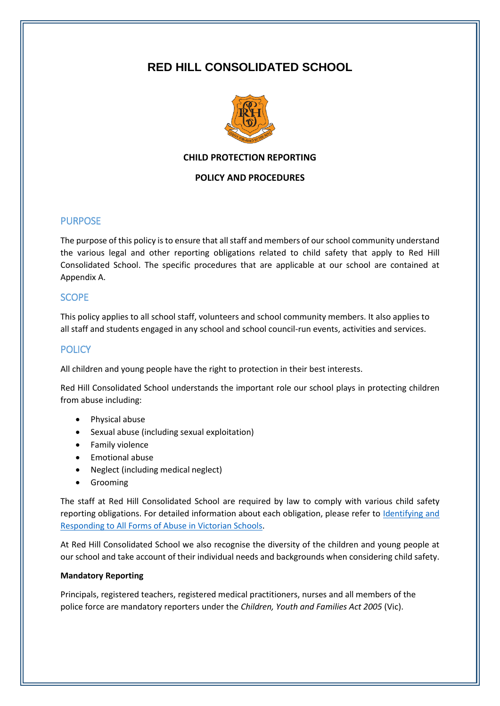# **RED HILL CONSOLIDATED SCHOOL**



## **CHILD PROTECTION REPORTING**

#### **POLICY AND PROCEDURES**

## PURPOSE

The purpose of this policy is to ensure that all staff and members of our school community understand the various legal and other reporting obligations related to child safety that apply to Red Hill Consolidated School. The specific procedures that are applicable at our school are contained at Appendix A.

## **SCOPE**

This policy applies to all school staff, volunteers and school community members. It also applies to all staff and students engaged in any school and school council-run events, activities and services.

## **POLICY**

All children and young people have the right to protection in their best interests.

Red Hill Consolidated School understands the important role our school plays in protecting children from abuse including:

- Physical abuse
- Sexual abuse (including sexual exploitation)
- **•** Family violence
- Emotional abuse
- Neglect (including medical neglect)
- **•** Grooming

The staff at Red Hill Consolidated School are required by law to comply with various child safety reporting obligations. For detailed information about each obligation, please refer to Identifying and [Responding to All Forms of Abuse in Victorian Schools.](https://www.education.vic.gov.au/Documents/about/programs/health/protect/ChildSafeStandard5_SchoolsGuide.pdf)

At Red Hill Consolidated School we also recognise the diversity of the children and young people at our school and take account of their individual needs and backgrounds when considering child safety.

#### **Mandatory Reporting**

Principals, registered teachers, registered medical practitioners, nurses and all members of the police force are mandatory reporters under the *Children, Youth and Families Act 2005* (Vic).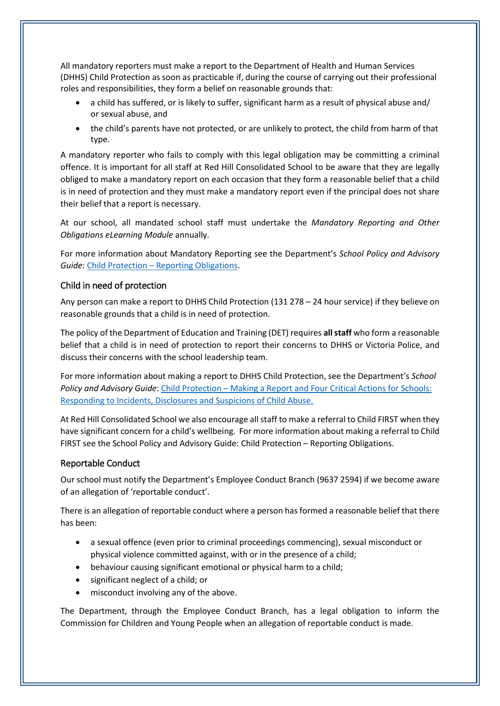All mandatory reporters must make a report to the Department of Health and Human Services (DHHS) Child Protection as soon as practicable if, during the course of carrying out their professional roles and responsibilities, they form a belief on reasonable grounds that:

- a child has suffered, or is likely to suffer, significant harm as a result of physical abuse and/ or sexual abuse, and
- the child's parents have not protected, or are unlikely to protect, the child from harm of that type.

A mandatory reporter who fails to comply with this legal obligation may be committing a criminal offence. It is important for all staff at Red Hill Consolidated School to be aware that they are legally obliged to make a mandatory report on each occasion that they form a reasonable belief that a child is in need of protection and they must make a mandatory report even if the principal does not share their belief that a report is necessary.

At our school, all mandated school staff must undertake the *Mandatory Reporting and Other Obligations eLearning Module* annually.

For more information about Mandatory Reporting see the Department's *School Policy and Advisory Guide*: Child Protection – [Reporting Obligations.](http://www.education.vic.gov.au/school/principals/spag/safety/Pages/childprotectobligation.aspx)

## Child in need of protection

Any person can make a report to DHHS Child Protection (131 278 – 24 hour service) if they believe on reasonable grounds that a child is in need of protection.

The policy of the Department of Education and Training (DET) requires **all staff** who form a reasonable belief that a child is in need of protection to report their concerns to DHHS or Victoria Police, and discuss their concerns with the school leadership team.

For more information about making a report to DHHS Child Protection, see the Department's *School Policy and Advisory Guide*: [Child Protection](http://www.education.vic.gov.au/school/principals/spag/safety/Pages/childprotectreporting.aspx) – Making a Report and [Four Critical Actions for Schools:](https://www.education.vic.gov.au/Documents/about/programs/health/protect/FourCriticalActions_ChildAbuse.pdf)  [Responding to Incidents, Disclosures and Suspicions of Child Abuse.](https://www.education.vic.gov.au/Documents/about/programs/health/protect/FourCriticalActions_ChildAbuse.pdf)

At Red Hill Consolidated School we also encourage all staff to make a referral to Child FIRST when they have significant concern for a child's wellbeing. For more information about making a referral to Child FIRST see the School Policy and Advisory Guide: Child Protection – [Reporting Obligations.](https://www.education.vic.gov.au/school/principals/spag/safety/Pages/childprotectobligation.aspx)

## Reportable Conduct

Our school must notify the Department's Employee Conduct Branch (9637 2594) if we become aware of an allegation of 'reportable conduct'.

There is an allegation of reportable conduct where a person has formed a reasonable belief that there has been:

- a sexual offence (even prior to criminal proceedings commencing), sexual misconduct or physical violence committed against, with or in the presence of a child;
- behaviour causing significant emotional or physical harm to a child;
- significant neglect of a child; or
- misconduct involving any of the above.

The Department, through the Employee Conduct Branch, has a legal obligation to inform the Commission for Children and Young People when an allegation of reportable conduct is made.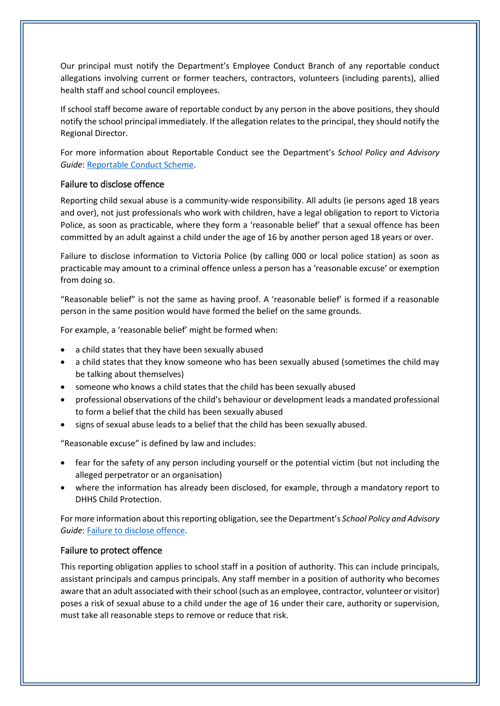Our principal must notify the Department's Employee Conduct Branch of any reportable conduct allegations involving current or former teachers, contractors, volunteers (including parents), allied health staff and school council employees.

If school staff become aware of reportable conduct by any person in the above positions, they should notify the school principal immediately. If the allegation relates to the principal, they should notify the Regional Director.

For more information about Reportable Conduct see the Department's *School Policy and Advisory Guide*[: Reportable Conduct Scheme.](http://www.education.vic.gov.au/school/principals/spag/safety/Pages/reportableconductscheme.aspx)

## Failure to disclose offence

Reporting child sexual abuse is a community-wide responsibility. All adults (ie persons aged 18 years and over), not just professionals who work with children, have a legal obligation to report to Victoria Police, as soon as practicable, where they form a 'reasonable belief' that a sexual offence has been committed by an adult against a child under the age of 16 by another person aged 18 years or over.

Failure to disclose information to Victoria Police (by calling 000 or local police station) as soon as practicable may amount to a criminal offence unless a person has a 'reasonable excuse' or exemption from doing so.

"Reasonable belief" is not the same as having proof. A 'reasonable belief' is formed if a reasonable person in the same position would have formed the belief on the same grounds.

For example, a 'reasonable belief' might be formed when:

- a child states that they have been sexually abused
- a child states that they know someone who has been sexually abused (sometimes the child may be talking about themselves)
- someone who knows a child states that the child has been sexually abused
- professional observations of the child's behaviour or development leads a mandated professional to form a belief that the child has been sexually abused
- signs of sexual abuse leads to a belief that the child has been sexually abused.

"Reasonable excuse" is defined by law and includes:

- fear for the safety of any person including yourself or the potential victim (but not including the alleged perpetrator or an organisation)
- where the information has already been disclosed, for example, through a mandatory report to DHHS Child Protection.

For more information about this reporting obligation, see the Department's *School Policy and Advisory Guide*[: Failure to disclose offence.](http://www.education.vic.gov.au/school/principals/spag/safety/Pages/childprotectobligation.aspx)

## Failure to protect offence

This reporting obligation applies to school staff in a position of authority. This can include principals, assistant principals and campus principals. Any staff member in a position of authority who becomes aware that an adult associated with their school (such as an employee, contractor, volunteer or visitor) poses a risk of sexual abuse to a child under the age of 16 under their care, authority or supervision, must take all reasonable steps to remove or reduce that risk.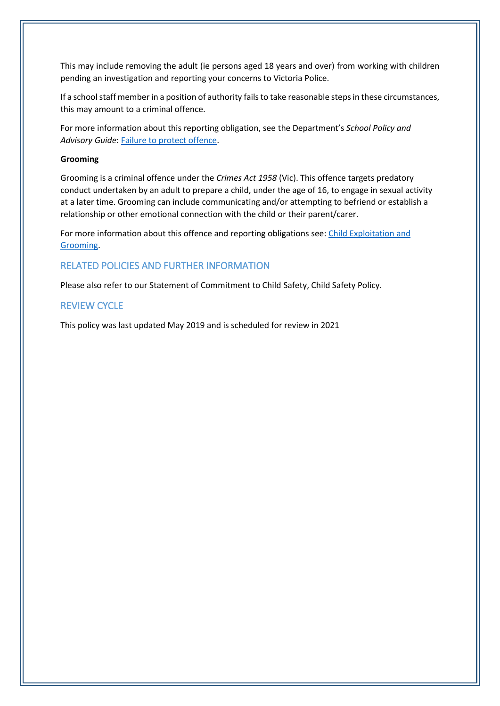This may include removing the adult (ie persons aged 18 years and over) from working with children pending an investigation and reporting your concerns to Victoria Police.

If a school staff member in a position of authority fails to take reasonable steps in these circumstances, this may amount to a criminal offence.

For more information about this reporting obligation, see the Department's *School Policy and Advisory Guide*: [Failure to protect offence.](http://www.education.vic.gov.au/school/principals/spag/safety/Pages/childprotectobligation.aspx)

#### **Grooming**

Grooming is a criminal offence under the *Crimes Act 1958* (Vic). This offence targets predatory conduct undertaken by an adult to prepare a child, under the age of 16, to engage in sexual activity at a later time. Grooming can include communicating and/or attempting to befriend or establish a relationship or other emotional connection with the child or their parent/carer.

For more information about this offence and reporting obligations see: Child Exploitation and [Grooming.](https://www.education.vic.gov.au/school/teachers/health/childprotection/Pages/expolitationgrooming.aspx)

## RELATED POLICIES AND FURTHER INFORMATION

Please also refer to our Statement of Commitment to Child Safety, Child Safety Policy.

## REVIEW CYCLE

This policy was last updated May 2019 and is scheduled for review in 2021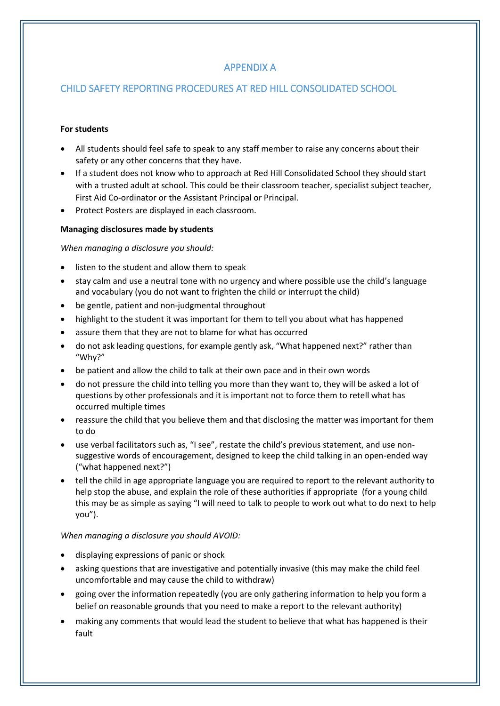# APPENDIX A

# CHILD SAFETY REPORTING PROCEDURES AT RED HILL CONSOLIDATED SCHOOL

#### **For students**

- All students should feel safe to speak to any staff member to raise any concerns about their safety or any other concerns that they have.
- If a student does not know who to approach at Red Hill Consolidated School they should start with a trusted adult at school. This could be their classroom teacher, specialist subject teacher, First Aid Co-ordinator or the Assistant Principal or Principal.
- Protect Posters are displayed in each classroom.

#### **Managing disclosures made by students**

#### *When managing a disclosure you should:*

- listen to the student and allow them to speak
- stay calm and use a neutral tone with no urgency and where possible use the child's language and vocabulary (you do not want to frighten the child or interrupt the child)
- be gentle, patient and non-judgmental throughout
- highlight to the student it was important for them to tell you about what has happened
- assure them that they are not to blame for what has occurred
- do not ask leading questions, for example gently ask, "What happened next?" rather than "Why?"
- be patient and allow the child to talk at their own pace and in their own words
- do not pressure the child into telling you more than they want to, they will be asked a lot of questions by other professionals and it is important not to force them to retell what has occurred multiple times
- reassure the child that you believe them and that disclosing the matter was important for them to do
- use verbal facilitators such as, "I see", restate the child's previous statement, and use nonsuggestive words of encouragement, designed to keep the child talking in an open-ended way ("what happened next?")
- tell the child in age appropriate language you are required to report to the relevant authority to help stop the abuse, and explain the role of these authorities if appropriate (for a young child this may be as simple as saying "I will need to talk to people to work out what to do next to help you").

#### *When managing a disclosure you should AVOID:*

- displaying expressions of panic or shock
- asking questions that are investigative and potentially invasive (this may make the child feel uncomfortable and may cause the child to withdraw)
- going over the information repeatedly (you are only gathering information to help you form a belief on reasonable grounds that you need to make a report to the relevant authority)
- making any comments that would lead the student to believe that what has happened is their fault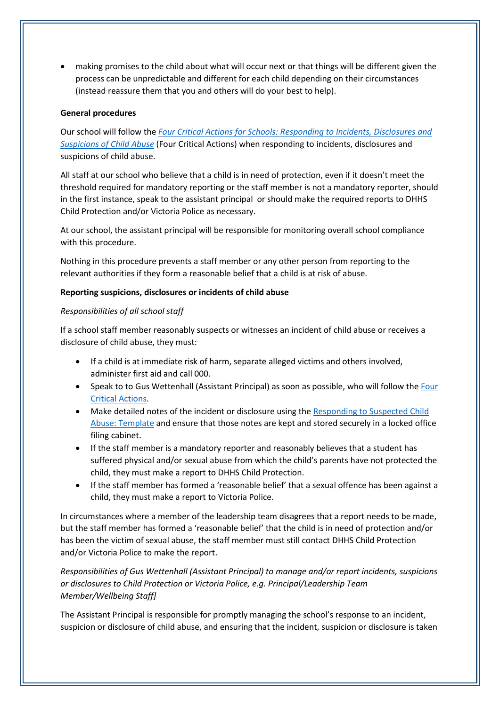making promises to the child about what will occur next or that things will be different given the process can be unpredictable and different for each child depending on their circumstances (instead reassure them that you and others will do your best to help).

#### **General procedures**

Our school will follow the *[Four Critical Actions for Schools: Responding to Incidents, Disclosures and](https://www.education.vic.gov.au/Documents/about/programs/health/protect/FourCriticalActions_ChildAbuse.pdf)  [Suspicions of Child Abuse](https://www.education.vic.gov.au/Documents/about/programs/health/protect/FourCriticalActions_ChildAbuse.pdf)* (Four Critical Actions) when responding to incidents, disclosures and suspicions of child abuse.

All staff at our school who believe that a child is in need of protection, even if it doesn't meet the threshold required for mandatory reporting or the staff member is not a mandatory reporter, should in the first instance, speak to the assistant principal or should make the required reports to DHHS Child Protection and/or Victoria Police as necessary.

At our school, the assistant principal will be responsible for monitoring overall school compliance with this procedure.

Nothing in this procedure prevents a staff member or any other person from reporting to the relevant authorities if they form a reasonable belief that a child is at risk of abuse.

#### **Reporting suspicions, disclosures or incidents of child abuse**

#### *Responsibilities of all school staff*

If a school staff member reasonably suspects or witnesses an incident of child abuse or receives a disclosure of child abuse, they must:

- If a child is at immediate risk of harm, separate alleged victims and others involved, administer first aid and call 000.
- Speak to to Gus Wettenhall (Assistant Principal) as soon as possible, who will follow the Four [Critical Actions.](https://www.education.vic.gov.au/Documents/about/programs/health/protect/FourCriticalActions_ChildAbuse.pdf)
- Make detailed notes of the incident or disclosure using the [Responding to Suspected Child](https://www.education.vic.gov.au/Documents/about/programs/health/protect/PROTECT_Schoolstemplate.pdf)  [Abuse: Template](https://www.education.vic.gov.au/Documents/about/programs/health/protect/PROTECT_Schoolstemplate.pdf) and ensure that those notes are kept and stored securely in a locked office filing cabinet.
- If the staff member is a mandatory reporter and reasonably believes that a student has suffered physical and/or sexual abuse from which the child's parents have not protected the child, they must make a report to DHHS Child Protection.
- If the staff member has formed a 'reasonable belief' that a sexual offence has been against a child, they must make a report to Victoria Police.

In circumstances where a member of the leadership team disagrees that a report needs to be made, but the staff member has formed a 'reasonable belief' that the child is in need of protection and/or has been the victim of sexual abuse, the staff member must still contact DHHS Child Protection and/or Victoria Police to make the report.

*Responsibilities of Gus Wettenhall (Assistant Principal) to manage and/or report incidents, suspicions or disclosures to Child Protection or Victoria Police, e.g. Principal/Leadership Team Member/Wellbeing Staff]*

The Assistant Principal is responsible for promptly managing the school's response to an incident, suspicion or disclosure of child abuse, and ensuring that the incident, suspicion or disclosure is taken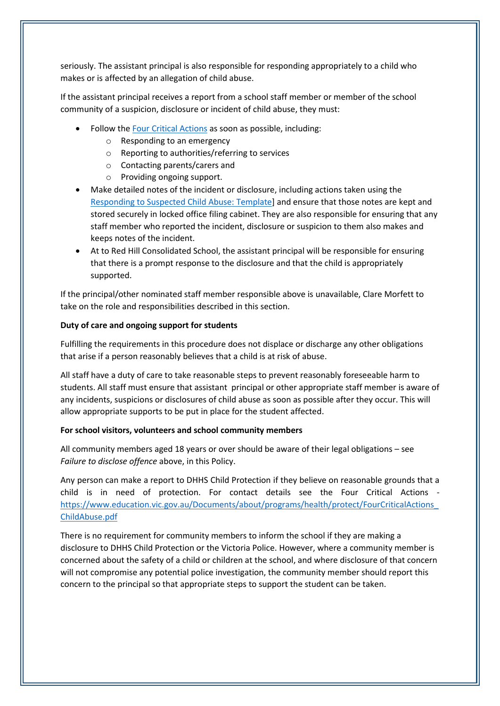seriously. The assistant principal is also responsible for responding appropriately to a child who makes or is affected by an allegation of child abuse.

If the assistant principal receives a report from a school staff member or member of the school community of a suspicion, disclosure or incident of child abuse, they must:

- Follow th[e Four Critical Actions](https://www.education.vic.gov.au/Documents/about/programs/health/protect/FourCriticalActions_ChildAbuse.pdf) as soon as possible, including:
	- o Responding to an emergency
	- o Reporting to authorities/referring to services
	- o Contacting parents/carers and
	- o Providing ongoing support.
- Make detailed notes of the incident or disclosure, including actions taken using the [Responding to Suspected Child Abuse: Template\]](https://www.education.vic.gov.au/Documents/about/programs/health/protect/PROTECT_Schoolstemplate.pdf) and ensure that those notes are kept and stored securely in locked office filing cabinet. They are also responsible for ensuring that any staff member who reported the incident, disclosure or suspicion to them also makes and keeps notes of the incident.
- At to Red Hill Consolidated School, the assistant principal will be responsible for ensuring that there is a prompt response to the disclosure and that the child is appropriately supported.

If the principal/other nominated staff member responsible above is unavailable, Clare Morfett to take on the role and responsibilities described in this section.

#### **Duty of care and ongoing support for students**

Fulfilling the requirements in this procedure does not displace or discharge any other obligations that arise if a person reasonably believes that a child is at risk of abuse.

All staff have a duty of care to take reasonable steps to prevent reasonably foreseeable harm to students. All staff must ensure that assistant principal or other appropriate staff member is aware of any incidents, suspicions or disclosures of child abuse as soon as possible after they occur. This will allow appropriate supports to be put in place for the student affected.

#### **For school visitors, volunteers and school community members**

All community members aged 18 years or over should be aware of their legal obligations – see *Failure to disclose offence* above, in this Policy.

Any person can make a report to DHHS Child Protection if they believe on reasonable grounds that a child is in need of protection. For contact details see the Four Critical Actions [https://www.education.vic.gov.au/Documents/about/programs/health/protect/FourCriticalActions\\_](https://www.education.vic.gov.au/Documents/about/programs/health/protect/FourCriticalActions_ChildAbuse.pdf) [ChildAbuse.pdf](https://www.education.vic.gov.au/Documents/about/programs/health/protect/FourCriticalActions_ChildAbuse.pdf)

There is no requirement for community members to inform the school if they are making a disclosure to DHHS Child Protection or the Victoria Police. However, where a community member is concerned about the safety of a child or children at the school, and where disclosure of that concern will not compromise any potential police investigation, the community member should report this concern to the principal so that appropriate steps to support the student can be taken.